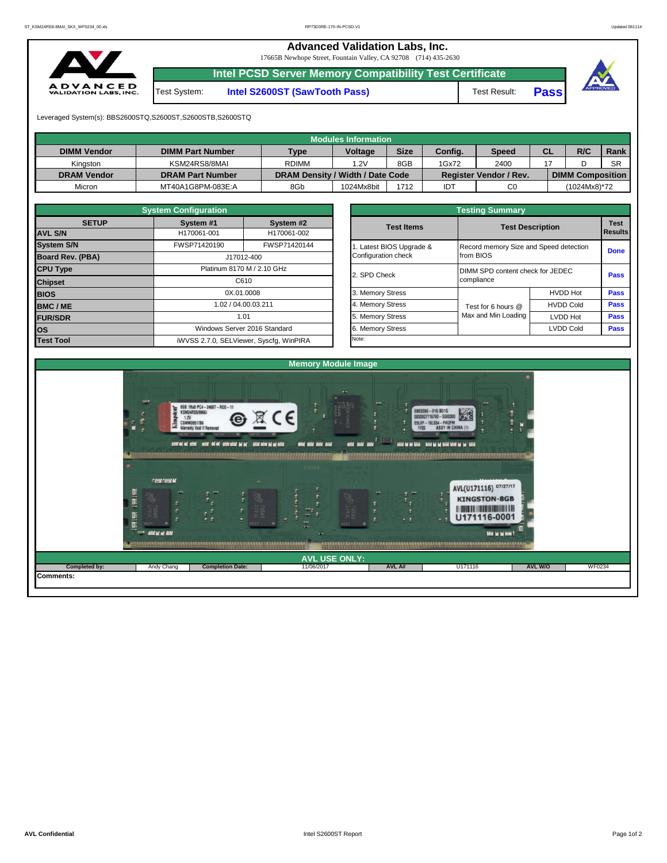**Advanced Validation Labs, Inc.** 

17665B Newhope Street, Fountain Valley, CA 92708 (714) 435-2630



**Intel PCSD Server Memory Compatibility Test Certificate**

Test System: **Intel S2600ST (SawTooth Pass)** Test Result: **Pass**





Leveraged System(s): BBS2600STQ,S2600ST,S2600STB,S2600STQ

|                    |                         |                                  | Modules Information |             |         |                               |           |                         |           |
|--------------------|-------------------------|----------------------------------|---------------------|-------------|---------|-------------------------------|-----------|-------------------------|-----------|
| <b>DIMM Vendor</b> | <b>DIMM Part Number</b> | <b>Type</b>                      | <b>Voltage</b>      | <b>Size</b> | Config. | <b>Speed</b>                  | <b>CL</b> | R/C                     | Rank      |
| Kinaston           | KSM24RS8/8MAI           | <b>RDIMM</b>                     | 1.2V                | 8GB         | 1Gx72   | 2400                          |           |                         | <b>SR</b> |
| <b>DRAM Vendor</b> | <b>DRAM Part Number</b> | DRAM Density / Width / Date Code |                     |             |         | <b>Register Vendor / Rev.</b> |           | <b>DIMM Composition</b> |           |
| Micron             | MT40A1G8PM-083E:A       | 8Gb                              | 1024Mx8bit          | 1712        | IDT     | C <sub>0</sub>                |           | (1024Mx8)*72            |           |

|                         | <b>System Configuration</b> |                                         |  |  |  |  |  |  |  |  |
|-------------------------|-----------------------------|-----------------------------------------|--|--|--|--|--|--|--|--|
| <b>SETUP</b>            | System #1                   | System #2                               |  |  |  |  |  |  |  |  |
| <b>AVL S/N</b>          | H170061-001                 | H170061-002                             |  |  |  |  |  |  |  |  |
| <b>System S/N</b>       | FWSP71420190                | FWSP71420144                            |  |  |  |  |  |  |  |  |
| <b>Board Rev. (PBA)</b> |                             | J17012-400                              |  |  |  |  |  |  |  |  |
| <b>CPU Type</b>         | Platinum 8170 M / 2.10 GHz  |                                         |  |  |  |  |  |  |  |  |
| <b>Chipset</b>          |                             | C610                                    |  |  |  |  |  |  |  |  |
| <b>BIOS</b>             | 0X.01.0008                  |                                         |  |  |  |  |  |  |  |  |
| <b>BMC/ME</b>           |                             | 1.02 / 04.00.03.211                     |  |  |  |  |  |  |  |  |
| <b>FUR/SDR</b>          |                             | 1.01                                    |  |  |  |  |  |  |  |  |
| los                     |                             | Windows Server 2016 Standard            |  |  |  |  |  |  |  |  |
| <b>Test Tool</b>        |                             | iWVSS 2.7.0, SELViewer, Syscfq, WinPIRA |  |  |  |  |  |  |  |  |

| <b>Testing Summary</b>                          |                                                     |                                  |                               |  |  |  |  |  |  |
|-------------------------------------------------|-----------------------------------------------------|----------------------------------|-------------------------------|--|--|--|--|--|--|
| <b>Test Items</b>                               | <b>Test Description</b>                             |                                  | <b>Test</b><br><b>Results</b> |  |  |  |  |  |  |
| 1. Latest BIOS Upgrade &<br>Configuration check | Record memory Size and Speed detection<br>from BIOS |                                  | <b>Done</b>                   |  |  |  |  |  |  |
| 2. SPD Check                                    | compliance                                          | DIMM SPD content check for JEDEC |                               |  |  |  |  |  |  |
| 3. Memory Stress                                |                                                     | <b>HVDD Hot</b>                  | <b>Pass</b>                   |  |  |  |  |  |  |
| 4. Memory Stress                                | Test for 6 hours @                                  | <b>HVDD Cold</b>                 | <b>Pass</b>                   |  |  |  |  |  |  |
| 5. Memory Stress                                | Max and Min Loading                                 | <b>LVDD Hot</b>                  | <b>Pass</b>                   |  |  |  |  |  |  |
| 6. Memory Stress                                |                                                     | <b>LVDD Cold</b>                 | <b>Pass</b>                   |  |  |  |  |  |  |
| Note:                                           |                                                     |                                  |                               |  |  |  |  |  |  |